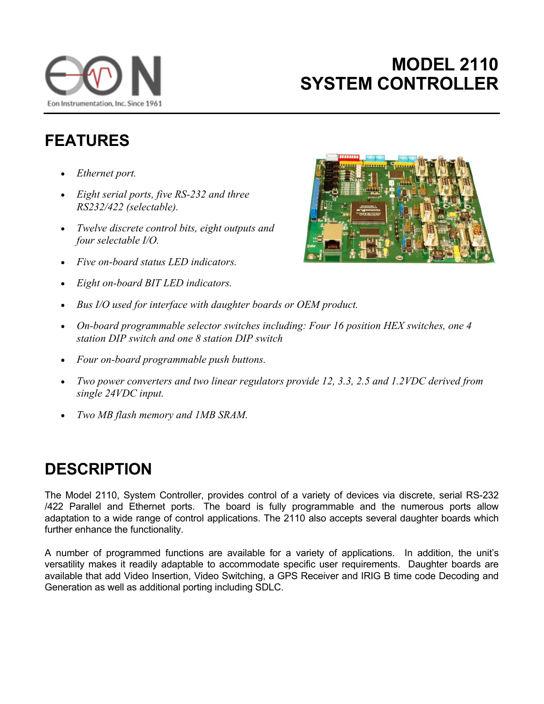

## **MODEL 2110 SYSTEM CONTROLLER**

## **FEATURES**

- *Ethernet port.*
- *Eight serial ports, five RS-232 and three RS232/422 (selectable).*
- *Twelve discrete control bits, eight outputs and four selectable I/O.*
- *Five on-board status LED indicators.*
- *Eight on-board BIT LED indicators.*
- *Bus I/O used for interface with daughter boards or OEM product.*
- *On-board programmable selector switches including: Four 16 position HEX switches, one 4 station DIP switch and one 8 station DIP switch*
- *Four on-board programmable push buttons.*
- *Two power converters and two linear regulators provide 12, 3.3, 2.5 and 1.2VDC derived from single 24VDC input.*
- *Two MB flash memory and 1MB SRAM.*

## **DESCRIPTION**

The Model 2110, System Controller, provides control of a variety of devices via discrete, serial RS-232 /422 Parallel and Ethernet ports. The board is fully programmable and the numerous ports allow adaptation to a wide range of control applications. The 2110 also accepts several daughter boards which further enhance the functionality.

A number of programmed functions are available for a variety of applications. In addition, the unit's versatility makes it readily adaptable to accommodate specific user requirements. Daughter boards are available that add Video Insertion, Video Switching, a GPS Receiver and IRIG B time code Decoding and Generation as well as additional porting including SDLC.